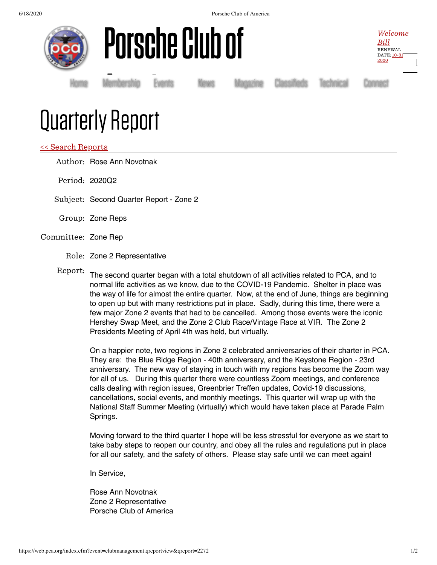6/18/2020 Porsche Club of America







[Home](https://www.pca.org/) [Membership](https://www.pca.org/membership) [Events](https://www.pca.org/events) [News](https://www.pca.org/news) [Magazine](https://www.pca.org/panorama/edition/panorama-june-2015) [Classifieds](https://www.pca.org/browse-the-mart-classified-ads) [Technical](https://www.pca.org/technical-question-search) [Connect](https://www.pca.org/contact)

## Quarterly Report Membership Ev<br>I

## << Search [Reports](https://web.pca.org/?event=clubmanagement.qreports)

Author: Rose Ann Novotnak

Period: 2020Q2

Subject: Second Quarter Report - Zone 2

Group: Zone Reps

## Committee: Zone Rep

Role: Zone 2 Representative

Report: The second quarter began with a total shutdown of all activities related to PCA, and to normal life activities as we know, due to the COVID-19 Pandemic. Shelter in place was the way of life for almost the entire quarter. Now, at the end of June, things are beginning to open up but with many restrictions put in place. Sadly, during this time, there were a few major Zone 2 events that had to be cancelled. Among those events were the iconic Hershey Swap Meet, and the Zone 2 Club Race/Vintage Race at VIR. The Zone 2 Presidents Meeting of April 4th was held, but virtually.

On a happier note, two regions in Zone 2 celebrated anniversaries of their charter in PCA. They are: the Blue Ridge Region - 40th anniversary, and the Keystone Region - 23rd anniversary. The new way of staying in touch with my regions has become the Zoom way for all of us. During this quarter there were countless Zoom meetings, and conference calls dealing with region issues, Greenbrier Treffen updates, Covid-19 discussions, cancellations, social events, and monthly meetings. This quarter will wrap up with the National Staff Summer Meeting (virtually) which would have taken place at Parade Palm Springs.

Moving forward to the third quarter I hope will be less stressful for everyone as we start to take baby steps to reopen our country, and obey all the rules and regulations put in place for all our safety, and the safety of others. Please stay safe until we can meet again!

In Service,

Rose Ann Novotnak Zone 2 Representative Porsche Club of America